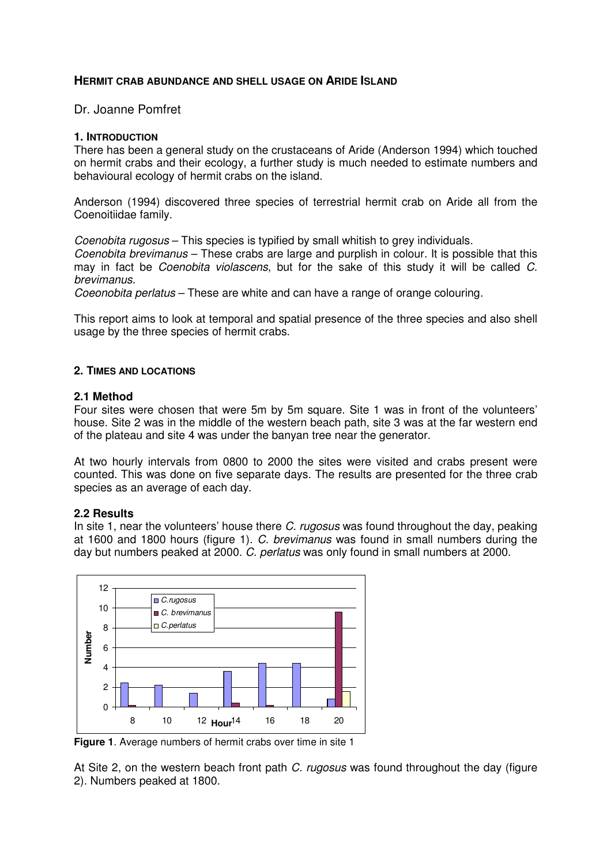## **HERMIT CRAB ABUNDANCE AND SHELL USAGE ON ARIDE ISLAND**

Dr. Joanne Pomfret

#### **1. INTRODUCTION**

There has been a general study on the crustaceans of Aride (Anderson 1994) which touched on hermit crabs and their ecology, a further study is much needed to estimate numbers and behavioural ecology of hermit crabs on the island.

Anderson (1994) discovered three species of terrestrial hermit crab on Aride all from the Coenoitiidae family.

Coenobita rugosus – This species is typified by small whitish to grey individuals. Coenobita brevimanus – These crabs are large and purplish in colour. It is possible that this may in fact be Coenobita violascens, but for the sake of this study it will be called C. brevimanus.

Coeonobita perlatus – These are white and can have a range of orange colouring.

This report aims to look at temporal and spatial presence of the three species and also shell usage by the three species of hermit crabs.

#### **2. TIMES AND LOCATIONS**

#### **2.1 Method**

Four sites were chosen that were 5m by 5m square. Site 1 was in front of the volunteers' house. Site 2 was in the middle of the western beach path, site 3 was at the far western end of the plateau and site 4 was under the banyan tree near the generator.

At two hourly intervals from 0800 to 2000 the sites were visited and crabs present were counted. This was done on five separate days. The results are presented for the three crab species as an average of each day.

## **2.2 Results**

In site 1, near the volunteers' house there C, rugosus was found throughout the day, peaking at 1600 and 1800 hours (figure 1). C. brevimanus was found in small numbers during the day but numbers peaked at 2000. C. perlatus was only found in small numbers at 2000.



**Figure 1**. Average numbers of hermit crabs over time in site 1

At Site 2, on the western beach front path C. rugosus was found throughout the day (figure 2). Numbers peaked at 1800.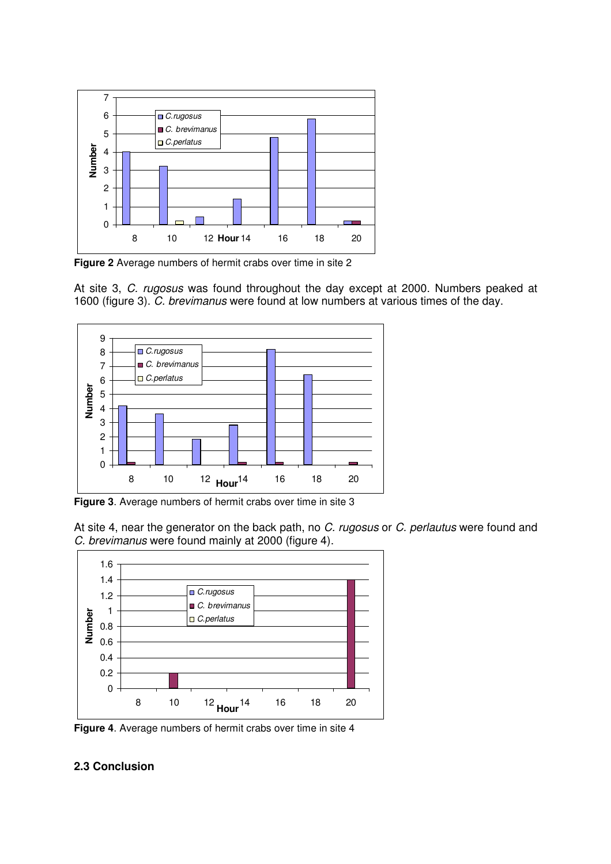

**Figure 2** Average numbers of hermit crabs over time in site 2

At site 3, C. rugosus was found throughout the day except at 2000. Numbers peaked at 1600 (figure 3). C. brevimanus were found at low numbers at various times of the day.



**Figure 3**. Average numbers of hermit crabs over time in site 3

At site 4, near the generator on the back path, no C. rugosus or C. perlautus were found and C. brevimanus were found mainly at 2000 (figure 4).



**Figure 4**. Average numbers of hermit crabs over time in site 4

# **2.3 Conclusion**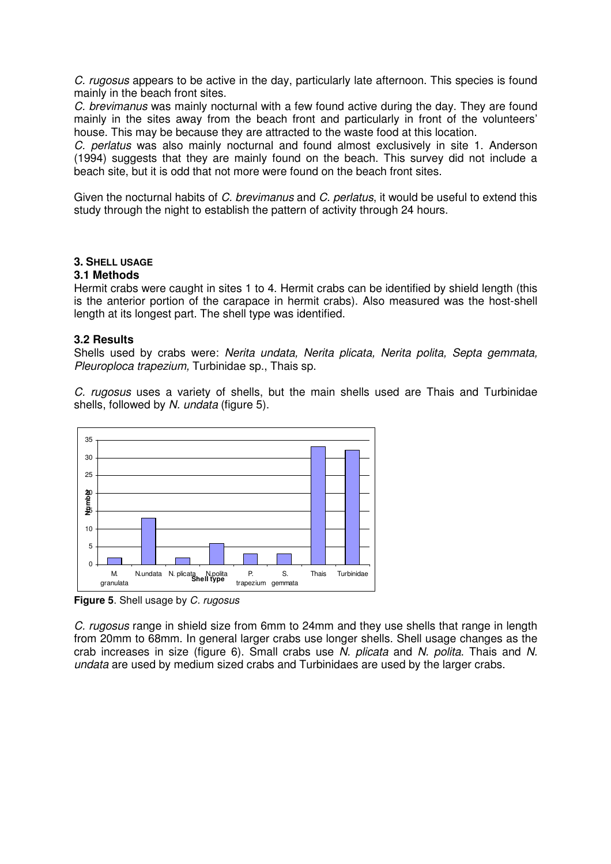C. rugosus appears to be active in the day, particularly late afternoon. This species is found mainly in the beach front sites.

C. brevimanus was mainly nocturnal with a few found active during the day. They are found mainly in the sites away from the beach front and particularly in front of the volunteers' house. This may be because they are attracted to the waste food at this location.

C. perlatus was also mainly nocturnal and found almost exclusively in site 1. Anderson (1994) suggests that they are mainly found on the beach. This survey did not include a beach site, but it is odd that not more were found on the beach front sites.

Given the nocturnal habits of C. brevimanus and C. perlatus, it would be useful to extend this study through the night to establish the pattern of activity through 24 hours.

## **3. SHELL USAGE**

## **3.1 Methods**

Hermit crabs were caught in sites 1 to 4. Hermit crabs can be identified by shield length (this is the anterior portion of the carapace in hermit crabs). Also measured was the host-shell length at its longest part. The shell type was identified.

#### **3.2 Results**

Shells used by crabs were: Nerita undata, Nerita plicata, Nerita polita, Septa gemmata, Pleuroploca trapezium, Turbinidae sp., Thais sp.

C. rugosus uses a variety of shells, but the main shells used are Thais and Turbinidae shells, followed by N. undata (figure 5).



**Figure 5**. Shell usage by C. rugosus

C. rugosus range in shield size from 6mm to 24mm and they use shells that range in length from 20mm to 68mm. In general larger crabs use longer shells. Shell usage changes as the crab increases in size (figure 6). Small crabs use  $\tilde{N}$ . plicata and  $N$ . polita. Thais and  $N$ . undata are used by medium sized crabs and Turbinidaes are used by the larger crabs.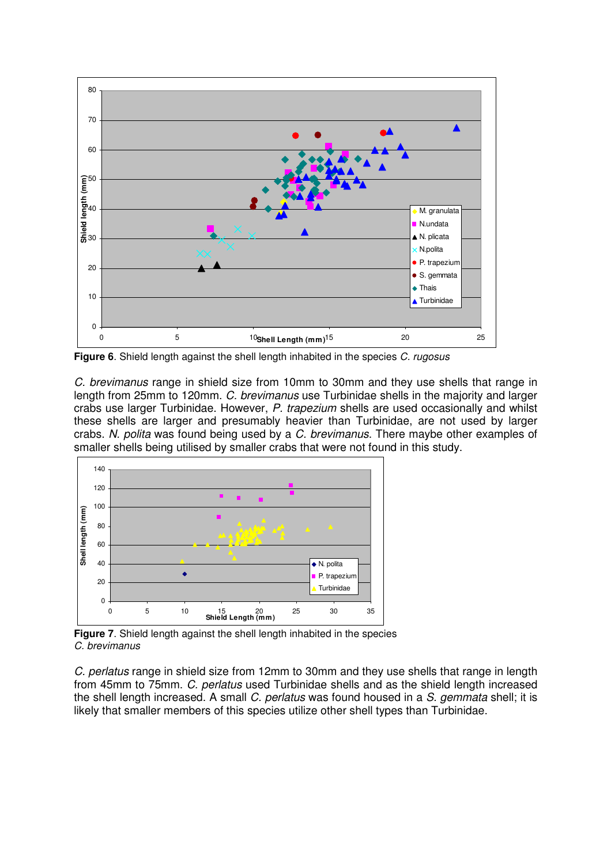

**Figure 6.** Shield length against the shell length inhabited in the species C. rugosus

C. brevimanus range in shield size from 10mm to 30mm and they use shells that range in length from 25mm to 120mm. C. brevimanus use Turbinidae shells in the majority and larger crabs use larger Turbinidae. However, P. trapezium shells are used occasionally and whilst these shells are larger and presumably heavier than Turbinidae, are not used by larger crabs. N. polita was found being used by a C. brevimanus. There maybe other examples of smaller shells being utilised by smaller crabs that were not found in this study.



**Figure 7**. Shield length against the shell length inhabited in the species C. brevimanus

C. perlatus range in shield size from 12mm to 30mm and they use shells that range in length from 45mm to 75mm. C. perlatus used Turbinidae shells and as the shield length increased the shell length increased. A small C. perlatus was found housed in a S. gemmata shell; it is likely that smaller members of this species utilize other shell types than Turbinidae.